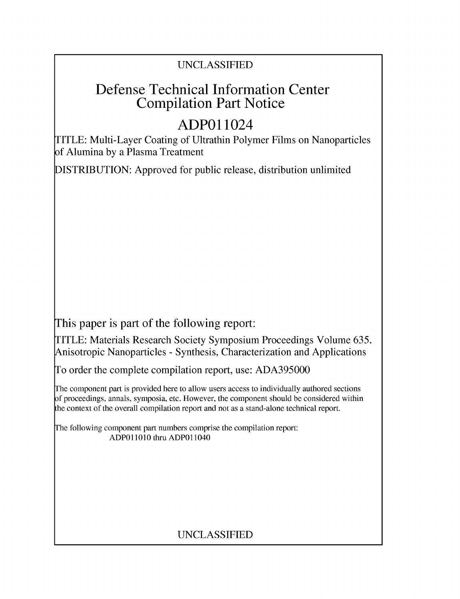## UNCLASSIFIED

## Defense Technical Information Center Compilation Part Notice

# **ADPO** 11024

TITLE: Multi-Layer Coating of Ultrathin Polymer Films on Nanoparticles of Alumina by a Plasma Treatment

DISTRIBUTION: Approved for public release, distribution unlimited

This paper is part of the following report:

TITLE: Materials Research Society Symposium Proceedings Volume 635. Anisotropic Nanoparticles - Synthesis, Characterization and Applications

To order the complete compilation report, use: ADA395000

The component part is provided here to allow users access to individually authored sections f proceedings, annals, symposia, etc. However, the component should be considered within [he context of the overall compilation report and not as a stand-alone technical report.

The following component part numbers comprise the compilation report: **ADPO11010** thru ADPO11040

## UNCLASSIFIED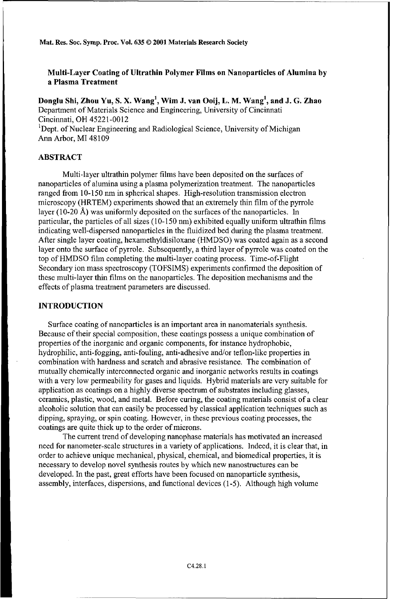Mat. Res. Soc. Syrmp. Proc. Vol. **635 ©** 2001 Materials Research Society

Multi-Layer Coating of Ultrathin Polymer Films on Nanoparticles of Alumina **by** a Plasma Treatment

Donglu Shi, Zhou Yu, **S.** X. Wang', Wim **J.** van Ooij, L. M. Wang', and **J. G.** Zhao Department of Materials Science and Engineering, University of Cincinnati Cincinnati, OH 45221-0012 <sup>1</sup> <sup>1</sup>Dept. of Nuclear Engineering and Radiological Science, University of Michigan

Ann Arbor, MI 48109

#### ABSTRACT

Multi-layer ultrathin polymer films have been deposited on the surfaces of nanoparticles of alumina using a plasma polymerization treatment. The nanoparticles ranged from 10-150 nm in spherical shapes. High-resolution transmission electron microscopy (HRTEM) experiments showed that an extremely thin film of the pyrrole layer (10-20 A) was uniformly deposited on the surfaces of the nanoparticles. In particular, the particles of all sizes (10-150 nm) exhibited equally uniform ultrathin films indicating well-dispersed nanoparticles in the fluidized bed during the plasma treatment. After single layer coating, hexamethyldisiloxane (HMDSO) was coated again as a second layer onto the surface of pyrrole. Subsequently, a third layer of pyrrole was coated on the top of HMDSO film completing the multi-layer coating process. Time-of-Flight Secondary ion mass spectroscopy (TOFSIMS) experiments confirmed the deposition of these multi-layer thin films on the nanoparticles. The deposition mechanisms and the effects of plasma treatment parameters are discussed.

#### **INTRODUCTION**

Surface coating of nanoparticles is an important area in nanomaterials synthesis. Because of their special composition, these coatings possess a unique combination of properties of the inorganic and organic components, for instance hydrophobic, hydrophilic, anti-fogging, anti-fouling, anti-adhesive and/or teflon-like properties in combination with hardness and scratch and abrasive resistance. The combination of mutually chemically interconnected organic and inorganic networks results in coatings with a very low permeability for gases and liquids. Hybrid materials are very suitable for application as coatings on a highly diverse spectrum of substrates including glasses, ceramics, plastic, wood, and metal. Before curing, the coating materials consist of a clear alcoholic solution that can easily be processed by classical application techniques such as dipping, spraying, or spin coating. However, in these previous coating processes, the coatings are quite thick up to the order of microns.

The current trend of developing nanophase materials has motivated an increased need for nanometer-scale structures in a variety of applications. Indeed, it is clear that, in order to achieve unique mechanical, physical, chemical, and biomedical properties, it is necessary to develop novel synthesis routes by which new nanostructures can be developed. In the past, great efforts have been focused on nanoparticle synthesis, assembly, interfaces, dispersions, and functional devices (1-5). Although high volume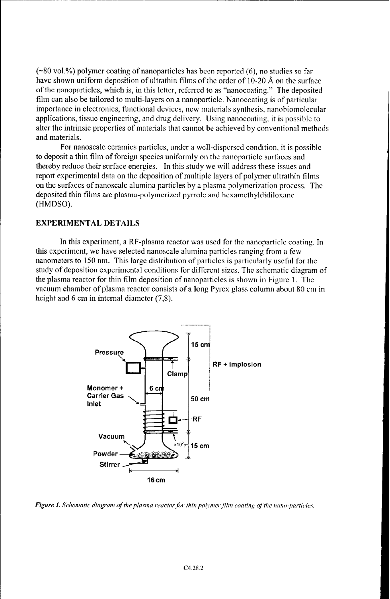**(-80** vol.%) polymer coating of nanoparticles has been reported (6), no studies so far have shown uniform deposition of ultrathin films of the order of 10-20 Å on the surface of the nanoparticles, which is, in this letter, referred to as "nanocoating." The deposited film can also be tailored to multi-layers on a nanoparticle. Nanocoating is of particular importance in electronics, functional devices, new materials synthesis, nanobiomolecular applications, tissue engineering, and drug delivery. Using nanocoating, it is possible to alter the intrinsic properties of materials that cannot be achieved by conventional methods and materials.

For nanoscale ceramics particles, under a well-dispersed condition, it is possible to deposit a thin film of foreign species uniformly on the nanoparticlc surfaces and thereby reduce their surface energies. In this study we will address these issues and report experimental data on the deposition of multiple layers of polymer ultrathin films on the surfaces of nanoscale alumina particles by a plasma polymerization process. The deposited thin films are plasma-polymerized pyrrole and hcxamethyldidiloxane (HMDSO).

#### EXPERIMENTAL **DETAILS**

In this experiment, a RF-plasma reactor was used for the nanoparticle coating. In this experiment, we have selected nanoscale alumina particles ranging from a few nanometers to 150 nm. This large distribution of particles is particularly useful for the study of deposition experimental conditions for different sizes. The schematic diagram of the plasma reactor for thin film deposition of nanoparticles is shown in Figure **1.** The vacuum chamber of plasma reactor consists of a long Pyrex glass column about 80 cm in height and 6 cm in internal diameter (7,8).



*Figure* **1.** *Schematic diagram of the plasina reactor* for *thin poljmcer f/hn coating qf the nano-partic/es.*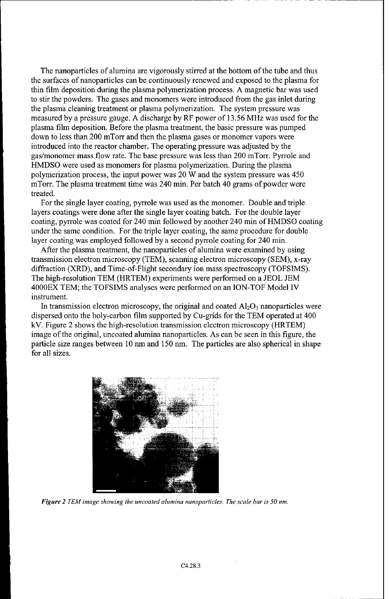The nanoparticles of alumina are vigorously stirred at the bottom of the tube and thus the surfaces of nanoparticles can be continuously renewed and exposed to the plasma for thin film deposition during the plasma polymerization process. A magnetic bar was used to stir the powders. The gases and monomers were introduced from the gas inlet during the plasma cleaning treatment or plasma polymerization. The system pressure was measured by a pressure gauge. A discharge by RF power of 13.56 MHz was used for the plasma film deposition. Before the plasma treatment, the basic pressure was pumped down to less than 200 mTorr and then the plasma gases or monomer vapors were introduced into the reactor chamber. The operating pressure was adjusted by the gas/monomer mass flow rate. The base pressure was less than 200 mTorr. Pyrrole and HMDSO were used as monomers for plasma polymerization. During the plasma polymerization process, the input power was 20 W and the system pressure was 450 mTorr. The plasma treatment time was 240 min. Per batch 40 grams of powder were treated.

For the single layer coating, pyrrole was used as the monomer. Double and triple layers coatings were done after the single layer coating batch. For the double layer coating, pyrrole was coated for 240 min followed by another 240 min of HMDSO coating under the same condition. For the triple layer coating, the same procedure for double layer coating was employed followed by a second pyrrole coating for 240 min.

After the plasma treatment, the nanoparticles of alumina were examined by using transmission electron microscopy (TEM), scanning electron microscopy (SEM), x-ray diffraction (XRD), and Time-of-Flight secondary ion mass spectroscopy (TOFSIMS). The high-resolution TEM (HRTEM) experiments were performed on a JEOL JEM 4000EX TEM; the TOFSIMS analyses were performed on an ION-TOF Model IV instrument.

In transmission electron microscopy, the original and coated  $Al_2O_3$  nanoparticles were dispersed onto the holy-carbon film supported by Cu-grids for the TEM operated at 400 kV. Figure 2 shows the high-resolution transmission electron microscopy (HRTEM) image of the original, uncoated alumina nanoparticles. As can be seen in this figure, the particle size ranges between 10 nm and 150 nm. The particles are also spherical in shape for all sizes.



*Figure 2 TEM image showing the uncoated alumina nanoparticles. The scale bar is 50 nm.*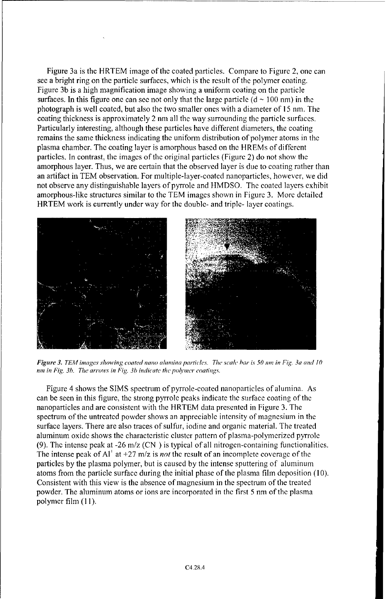Figure 3a is the HRTEM image of the coated particles. Compare to Figure 2, one can see a bright ring on the particle surfaces, which is the result of the polymer coating. Figure 3b is a high magnification image showing a uniform coating on the particle surfaces. In this figure one can see not only that the large particle  $(d \sim 100 \text{ nm})$  in the photograph is well coated, but also the two smaller ones with a diameter of 15 nm. The coating thickness is approximately 2 nm all the way surrounding the particle surfaces. Particularly interesting, although these particles have different diameters, the coating remains the same thickness indicating the uniform distribution of polymer atoms in the plasma chamber. The coating layer is amorphous based on the HREMs of different particles. In contrast, the images of the original particles (Figure 2) do not show the amorphous layer. Thus, we are certain that the observed layer is due to coating rather than an artifact in TEM observation. For multiple-layer-coated nanoparticles, however, we did not observe any distinguishable layers of pyrrole and HMDSO. The coated layers exhibit amorphous-like structures similar to the TEM images shown in Figure 3. More detailed HRTEM work is currently under way for the double- and triple- layer coatings.



*Figure 3. TEAM images showing coated nano alunina particles. The scale bar is 50 nim in Fig. 3a and* 10 *nm in Fig. 3b. The arrows in Fig. 3b indicate the poimer coatings.*

Figure 4 shows the SIMS spectrum of pyrrole-coated nanoparticles of alumina. As can be seen in this figure, the strong pyrrole peaks indicate the surface coating of the nanoparticles and are consistent with the HRTEM data presented in Figure 3. The spectrum of the untreated powder shows an appreciable intensity of magnesium in the surface layers. There are also traces of sulfur, iodine and organic material. The treated aluminum oxide shows the characteristic cluster pattern of plasma-polymerized pyrrole (9). The intense peak at -26 m/z  $(CN)$  is typical of all nitrogen-containing functionalities. The intense peak of Al' at  $+27$  m/z is *not* the result of an incomplete coverage of the particles by the plasma polymer, but is caused by the intense sputtering of aluminum atoms from the particle surface during the initial phase of the plasma film deposition (10). Consistent with this view is the absence of magnesium in the spectrum of the treated powder. The aluminum atoms or ions are incorporated in the first 5 nm of the plasma polymer film **(11).**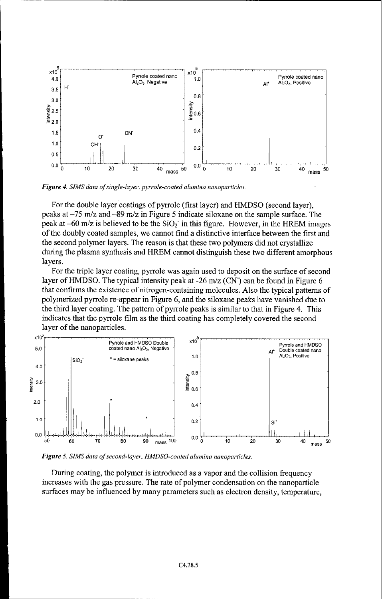

*Figure 4. SIMS data of single-layer, pyrrole-coated alumina nanoparticles.*

For the double layer coatings of pyrrole (first layer) and HMDSO (second layer), peaks at -75 m/z and -89 m/z in Figure 5 indicate siloxane on the sample surface. The peak at  $-60$  m/z is believed to be the  $SiO<sub>2</sub>$  in this figure. However, in the HREM images of the doubly coated samples, we cannot find a distinctive interface between the first and the second polymer layers. The reason is that these two polymers did not crystallize during the plasma synthesis and HREM cannot distinguish these two different amorphous layers.

For the triple layer coating, pyrrole was again used to deposit on the surface of second layer of HMDSO. The typical intensity peak at -26 m/z (CN) can be found in Figure 6 that confirms the existence of nitrogen-containing molecules. Also the typical patterns of polymerized pyrrole re-appear in Figure 6, and the siloxane peaks have vanished due to the third layer coating. The pattern of pyrrole peaks is similar to that in Figure 4. This indicates that the pyrrole film as the third coating has completely covered the second layer of the nanoparticles.



Figure 5. SIMS data of second-layer, HMDSO-coated alumina nanoparticles.

During coating, the polymer is introduced as a vapor and the collision frequency increases with the gas pressure. The rate of polymer condensation on the nanoparticle surfaces may be influenced by many parameters such as electron density, temperature,